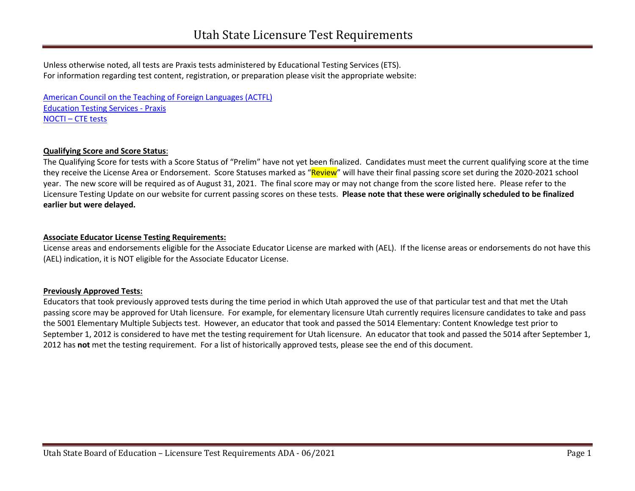Unless otherwise noted, all tests are Praxis tests administered by Educational Testing Services (ETS). For information regarding test content, registration, or preparation please visit the appropriate website:

 [Education Testing Services -](http://www.ets.org/praxis/ut) Praxis [NOCTI – CTE tests](https://schools.utah.gov/cte/educatorendorsements?mid=2767&tid=2)  [American Council on the Teaching of Foreign Languages \(ACTFL\)](http://www.actfl.org/professional-development/assessments-the-actfl-testing-office/oral-proficiency-assessments-including-opi-opic) 

#### **Qualifying Score and Score Status**:

 The Qualifying Score for tests with a Score Status of "Prelim" have not yet been finalized. Candidates must meet the current qualifying score at the time year. The new score will be required as of August 31, 2021. The final score may or may not change from the score listed here. Please refer to the Licensure Testing Update on our website for current passing scores on these tests. **Please note that these were originally scheduled to be finalized**  they receive the License Area or Endorsement. Score Statuses marked as "Review" will have their final passing score set during the 2020-2021 school **earlier but were delayed.** 

### **Associate Educator License Testing Requirements:**

License areas and endorsements eligible for the Associate Educator License are marked with (AEL). If the license areas or endorsements do not have this (AEL) indication, it is NOT eligible for the Associate Educator License.

#### **Previously Approved Tests:**

 Educators that took previously approved tests during the time period in which Utah approved the use of that particular test and that met the Utah September 1, 2012 is considered to have met the testing requirement for Utah licensure. An educator that took and passed the 5014 after September 1, passing score may be approved for Utah licensure. For example, for elementary licensure Utah currently requires licensure candidates to take and pass the 5001 Elementary Multiple Subjects test. However, an educator that took and passed the 5014 Elementary: Content Knowledge test prior to 2012 has **not** met the testing requirement. For a list of historically approved tests, please see the end of this document.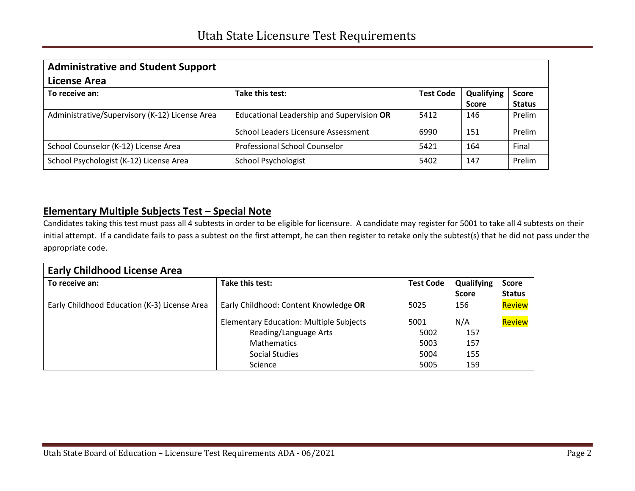| <b>Administrative and Student Support</b><br>License Area |                                           |                  |                            |                               |
|-----------------------------------------------------------|-------------------------------------------|------------------|----------------------------|-------------------------------|
| To receive an:                                            | Take this test:                           | <b>Test Code</b> | Qualifying<br><b>Score</b> | <b>Score</b><br><b>Status</b> |
| Administrative/Supervisory (K-12) License Area            | Educational Leadership and Supervision OR | 5412             | 146                        | Prelim                        |
|                                                           | School Leaders Licensure Assessment       | 6990             | 151                        | Prelim                        |
| School Counselor (K-12) License Area                      | Professional School Counselor             | 5421             | 164                        | Final                         |
| School Psychologist (K-12) License Area                   | <b>School Psychologist</b>                | 5402             | 147                        | Prelim                        |

## **Elementary Multiple Subjects Test – Special Note**

 Candidates taking this test must pass all 4 subtests in order to be eligible for licensure. A candidate may register for 5001 to take all 4 subtests on their initial attempt. If a candidate fails to pass a subtest on the first attempt, he can then register to retake only the subtest(s) that he did not pass under the appropriate code.

| <b>Early Childhood License Area</b>          |                                                |                  |                            |                               |
|----------------------------------------------|------------------------------------------------|------------------|----------------------------|-------------------------------|
| To receive an:                               | Take this test:                                | <b>Test Code</b> | Qualifying<br><b>Score</b> | <b>Score</b><br><b>Status</b> |
| Early Childhood Education (K-3) License Area | Early Childhood: Content Knowledge OR          | 5025             | 156                        | Review                        |
|                                              | <b>Elementary Education: Multiple Subjects</b> | 5001             | N/A                        | Review                        |
|                                              | Reading/Language Arts                          | 5002             | 157                        |                               |
|                                              | <b>Mathematics</b>                             | 5003             | 157                        |                               |
|                                              | Social Studies                                 | 5004             | 155                        |                               |
|                                              | Science                                        | 5005             | 159                        |                               |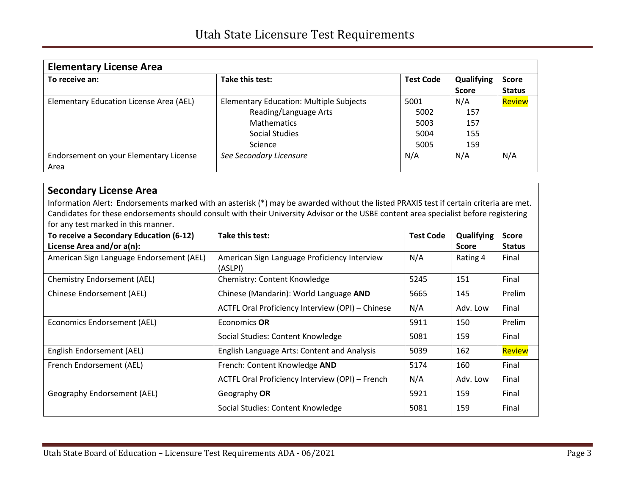| <b>Elementary License Area</b>          |                                                |                  |              |               |  |
|-----------------------------------------|------------------------------------------------|------------------|--------------|---------------|--|
| To receive an:                          | Take this test:                                | <b>Test Code</b> | Qualifying   | <b>Score</b>  |  |
|                                         |                                                |                  | <b>Score</b> | <b>Status</b> |  |
| Elementary Education License Area (AEL) | <b>Elementary Education: Multiple Subjects</b> | 5001             | N/A          | Review        |  |
|                                         | Reading/Language Arts                          | 5002             | 157          |               |  |
|                                         | <b>Mathematics</b>                             | 5003             | 157          |               |  |
|                                         | Social Studies                                 | 5004             | 155          |               |  |
|                                         | Science                                        | 5005             | 159          |               |  |
| Endorsement on your Elementary License  | See Secondary Licensure                        | N/A              | N/A          | N/A           |  |
| Area                                    |                                                |                  |              |               |  |

| <b>Secondary License Area</b>                                                                                                          |                                                         |                  |              |               |  |
|----------------------------------------------------------------------------------------------------------------------------------------|---------------------------------------------------------|------------------|--------------|---------------|--|
| Information Alert: Endorsements marked with an asterisk (*) may be awarded without the listed PRAXIS test if certain criteria are met. |                                                         |                  |              |               |  |
| Candidates for these endorsements should consult with their University Advisor or the USBE content area specialist before registering  |                                                         |                  |              |               |  |
| for any test marked in this manner.                                                                                                    |                                                         |                  |              |               |  |
| To receive a Secondary Education (6-12)                                                                                                | Take this test:                                         | <b>Test Code</b> | Qualifying   | <b>Score</b>  |  |
| License Area and/or a(n):                                                                                                              |                                                         |                  | <b>Score</b> | <b>Status</b> |  |
| American Sign Language Endorsement (AEL)                                                                                               | American Sign Language Proficiency Interview<br>(ASLPI) | N/A              | Rating 4     | Final         |  |
| <b>Chemistry Endorsement (AEL)</b>                                                                                                     | Chemistry: Content Knowledge                            | 5245             | 151          | Final         |  |
| Chinese Endorsement (AEL)                                                                                                              | Chinese (Mandarin): World Language AND                  | 5665             | 145          | Prelim        |  |
|                                                                                                                                        | ACTFL Oral Proficiency Interview (OPI) - Chinese        | N/A              | Adv. Low     | Final         |  |
| Economics Endorsement (AEL)                                                                                                            | Economics OR                                            | 5911             | 150          | Prelim        |  |
|                                                                                                                                        | Social Studies: Content Knowledge                       | 5081             | 159          | Final         |  |
| English Endorsement (AEL)                                                                                                              | English Language Arts: Content and Analysis             | 5039             | 162          | <b>Review</b> |  |
| French Endorsement (AEL)                                                                                                               | French: Content Knowledge AND                           | 5174             | 160          | Final         |  |
|                                                                                                                                        | ACTFL Oral Proficiency Interview (OPI) - French         | N/A              | Adv. Low     | Final         |  |
| Geography Endorsement (AEL)                                                                                                            | Geography OR                                            | 5921             | 159          | Final         |  |
|                                                                                                                                        | Social Studies: Content Knowledge                       | 5081             | 159          | Final         |  |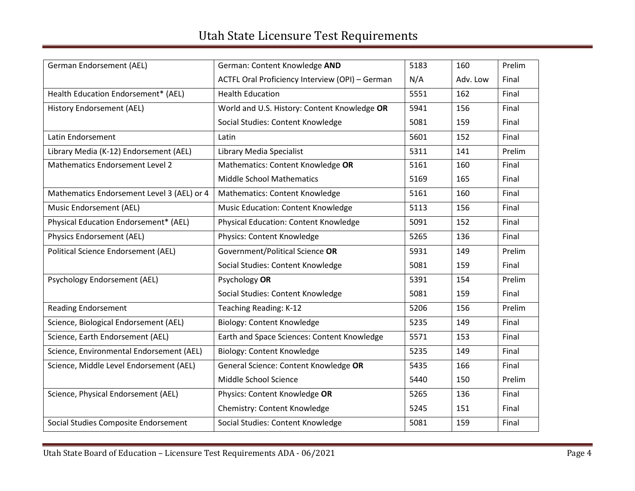| German Endorsement (AEL)                   | German: Content Knowledge AND                   | 5183 | 160      | Prelim |
|--------------------------------------------|-------------------------------------------------|------|----------|--------|
|                                            | ACTFL Oral Proficiency Interview (OPI) - German | N/A  | Adv. Low | Final  |
| Health Education Endorsement* (AEL)        | <b>Health Education</b>                         | 5551 | 162      | Final  |
| History Endorsement (AEL)                  | World and U.S. History: Content Knowledge OR    | 5941 | 156      | Final  |
|                                            | Social Studies: Content Knowledge               | 5081 | 159      | Final  |
| Latin Endorsement                          | Latin                                           | 5601 | 152      | Final  |
| Library Media (K-12) Endorsement (AEL)     | Library Media Specialist                        | 5311 | 141      | Prelim |
| Mathematics Endorsement Level 2            | Mathematics: Content Knowledge OR               | 5161 | 160      | Final  |
|                                            | <b>Middle School Mathematics</b>                | 5169 | 165      | Final  |
| Mathematics Endorsement Level 3 (AEL) or 4 | Mathematics: Content Knowledge                  | 5161 | 160      | Final  |
| Music Endorsement (AEL)                    | <b>Music Education: Content Knowledge</b>       | 5113 | 156      | Final  |
| Physical Education Endorsement* (AEL)      | Physical Education: Content Knowledge           | 5091 | 152      | Final  |
| Physics Endorsement (AEL)                  | Physics: Content Knowledge                      | 5265 | 136      | Final  |
| Political Science Endorsement (AEL)        | Government/Political Science OR                 | 5931 | 149      | Prelim |
|                                            | Social Studies: Content Knowledge               | 5081 | 159      | Final  |
| Psychology Endorsement (AEL)               | Psychology OR                                   | 5391 | 154      | Prelim |
|                                            | Social Studies: Content Knowledge               | 5081 | 159      | Final  |
| <b>Reading Endorsement</b>                 | Teaching Reading: K-12                          | 5206 | 156      | Prelim |
| Science, Biological Endorsement (AEL)      | Biology: Content Knowledge                      | 5235 | 149      | Final  |
| Science, Earth Endorsement (AEL)           | Earth and Space Sciences: Content Knowledge     | 5571 | 153      | Final  |
| Science, Environmental Endorsement (AEL)   | Biology: Content Knowledge                      | 5235 | 149      | Final  |
| Science, Middle Level Endorsement (AEL)    | General Science: Content Knowledge OR           | 5435 | 166      | Final  |
|                                            | Middle School Science                           | 5440 | 150      | Prelim |
| Science, Physical Endorsement (AEL)        | Physics: Content Knowledge OR                   | 5265 | 136      | Final  |
|                                            | Chemistry: Content Knowledge                    | 5245 | 151      | Final  |
| Social Studies Composite Endorsement       | Social Studies: Content Knowledge               | 5081 | 159      | Final  |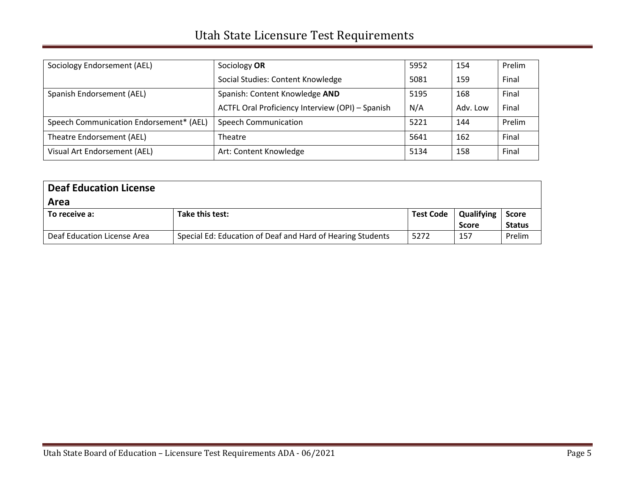| Sociology Endorsement (AEL)             | Sociology OR                                     | 5952 | 154      | Prelim |
|-----------------------------------------|--------------------------------------------------|------|----------|--------|
|                                         | Social Studies: Content Knowledge                | 5081 | 159      | Final  |
| Spanish Endorsement (AEL)               | Spanish: Content Knowledge AND                   | 5195 | 168      | Final  |
|                                         | ACTFL Oral Proficiency Interview (OPI) - Spanish | N/A  | Adv. Low | Final  |
| Speech Communication Endorsement* (AEL) | <b>Speech Communication</b>                      | 5221 | 144      | Prelim |
| Theatre Endorsement (AEL)               | Theatre                                          | 5641 | 162      | Final  |
| Visual Art Endorsement (AEL)            | Art: Content Knowledge                           | 5134 | 158      | Final  |

| <b>Deaf Education License</b><br>Area |                                                            |                  |                            |                                     |
|---------------------------------------|------------------------------------------------------------|------------------|----------------------------|-------------------------------------|
| To receive a:                         | Take this test:                                            | <b>Test Code</b> | Qualifying<br><b>Score</b> | Score <b>Score</b><br><b>Status</b> |
| Deaf Education License Area           | Special Ed: Education of Deaf and Hard of Hearing Students | 5272             | 157                        | Prelim                              |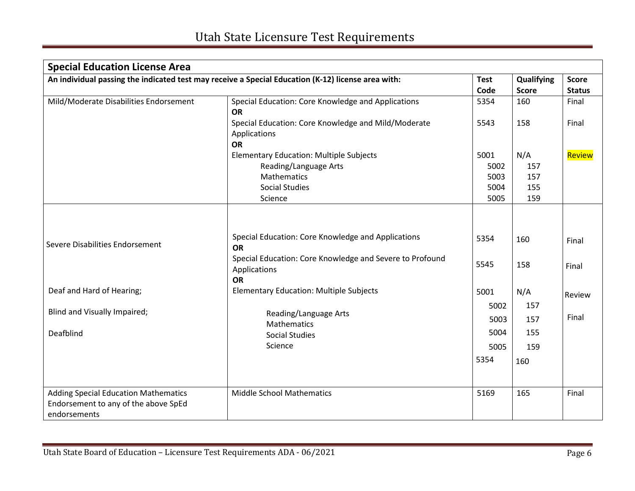| <b>Special Education License Area</b>                                                              |                                                          |             |              |               |
|----------------------------------------------------------------------------------------------------|----------------------------------------------------------|-------------|--------------|---------------|
| An individual passing the indicated test may receive a Special Education (K-12) license area with: |                                                          | <b>Test</b> | Qualifying   | <b>Score</b>  |
|                                                                                                    |                                                          | Code        | <b>Score</b> | <b>Status</b> |
| Mild/Moderate Disabilities Endorsement                                                             | Special Education: Core Knowledge and Applications       | 5354        | 160          | Final         |
|                                                                                                    | <b>OR</b>                                                |             |              |               |
|                                                                                                    | Special Education: Core Knowledge and Mild/Moderate      | 5543        | 158          | Final         |
|                                                                                                    | Applications                                             |             |              |               |
|                                                                                                    | <b>OR</b>                                                |             |              |               |
|                                                                                                    | <b>Elementary Education: Multiple Subjects</b>           | 5001        | N/A          | Review        |
|                                                                                                    | Reading/Language Arts                                    | 5002        | 157          |               |
|                                                                                                    | Mathematics                                              | 5003        | 157          |               |
|                                                                                                    | <b>Social Studies</b>                                    | 5004        | 155          |               |
|                                                                                                    | Science                                                  | 5005        | 159          |               |
|                                                                                                    |                                                          |             |              |               |
|                                                                                                    |                                                          |             |              |               |
| Severe Disabilities Endorsement                                                                    | Special Education: Core Knowledge and Applications       | 5354        | 160          | Final         |
|                                                                                                    | <b>OR</b>                                                |             |              |               |
|                                                                                                    | Special Education: Core Knowledge and Severe to Profound | 5545        | 158          | Final         |
|                                                                                                    | Applications                                             |             |              |               |
|                                                                                                    | <b>OR</b>                                                |             |              |               |
| Deaf and Hard of Hearing;                                                                          | <b>Elementary Education: Multiple Subjects</b>           | 5001        | N/A          | Review        |
|                                                                                                    |                                                          | 5002        | 157          |               |
| Blind and Visually Impaired;                                                                       | Reading/Language Arts<br>Mathematics                     | 5003        | 157          | Final         |
| Deafblind                                                                                          | <b>Social Studies</b>                                    | 5004        | 155          |               |
|                                                                                                    | Science                                                  | 5005        | 159          |               |
|                                                                                                    |                                                          | 5354        | 160          |               |
|                                                                                                    |                                                          |             |              |               |
|                                                                                                    |                                                          |             |              |               |
| <b>Adding Special Education Mathematics</b>                                                        | <b>Middle School Mathematics</b>                         | 5169        | 165          | Final         |
| Endorsement to any of the above SpEd                                                               |                                                          |             |              |               |
| endorsements                                                                                       |                                                          |             |              |               |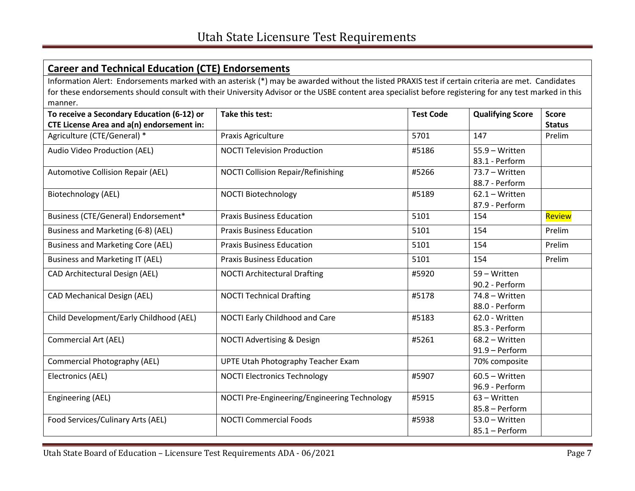# **Career and Technical Education (CTE) Endorsements**

 Information Alert: Endorsements marked with an asterisk (\*) may be awarded without the listed PRAXIS test if certain criteria are met. Candidates for these endorsements should consult with their University Advisor or the USBE content area specialist before registering for any test marked in this manner.

| To receive a Secondary Education (6-12) or | <b>Take this test:</b>                       | <b>Test Code</b> | <b>Qualifying Score</b> | <b>Score</b>  |
|--------------------------------------------|----------------------------------------------|------------------|-------------------------|---------------|
| CTE License Area and a(n) endorsement in:  |                                              |                  |                         | <b>Status</b> |
| Agriculture (CTE/General) *                | Praxis Agriculture                           | 5701             | 147                     | Prelim        |
| Audio Video Production (AEL)               | <b>NOCTI Television Production</b>           | #5186            | 55.9 - Written          |               |
|                                            |                                              |                  | 83.1 - Perform          |               |
| <b>Automotive Collision Repair (AEL)</b>   | <b>NOCTI Collision Repair/Refinishing</b>    | #5266            | 73.7 - Written          |               |
|                                            |                                              |                  | 88.7 - Perform          |               |
| Biotechnology (AEL)                        | <b>NOCTI Biotechnology</b>                   | #5189            | $62.1 - Written$        |               |
|                                            |                                              |                  | 87.9 - Perform          |               |
| Business (CTE/General) Endorsement*        | <b>Praxis Business Education</b>             | 5101             | 154                     | Review        |
| Business and Marketing (6-8) (AEL)         | <b>Praxis Business Education</b>             | 5101             | 154                     | Prelim        |
| <b>Business and Marketing Core (AEL)</b>   | <b>Praxis Business Education</b>             | 5101             | 154                     | Prelim        |
| Business and Marketing IT (AEL)            | <b>Praxis Business Education</b>             | 5101             | 154                     | Prelim        |
| <b>CAD Architectural Design (AEL)</b>      | <b>NOCTI Architectural Drafting</b>          | #5920            | 59 - Written            |               |
|                                            |                                              |                  | 90.2 - Perform          |               |
| <b>CAD Mechanical Design (AEL)</b>         | <b>NOCTI Technical Drafting</b>              | #5178            | $74.8 - W$ ritten       |               |
|                                            |                                              |                  | 88.0 - Perform          |               |
| Child Development/Early Childhood (AEL)    | NOCTI Early Childhood and Care               | #5183            | 62.0 - Written          |               |
|                                            |                                              |                  | 85.3 - Perform          |               |
| <b>Commercial Art (AEL)</b>                | <b>NOCTI Advertising &amp; Design</b>        | #5261            | $68.2 - W$ ritten       |               |
|                                            |                                              |                  | 91.9 - Perform          |               |
| <b>Commercial Photography (AEL)</b>        | <b>UPTE Utah Photography Teacher Exam</b>    |                  | 70% composite           |               |
| Electronics (AEL)                          | <b>NOCTI Electronics Technology</b>          | #5907            | $60.5 - W$ ritten       |               |
|                                            |                                              |                  | 96.9 - Perform          |               |
| <b>Engineering (AEL)</b>                   | NOCTI Pre-Engineering/Engineering Technology | #5915            | 63 - Written            |               |
|                                            |                                              |                  | 85.8 - Perform          |               |
| Food Services/Culinary Arts (AEL)          | <b>NOCTI Commercial Foods</b>                | #5938            | $53.0 - W$ ritten       |               |
|                                            |                                              |                  | $85.1 -$ Perform        |               |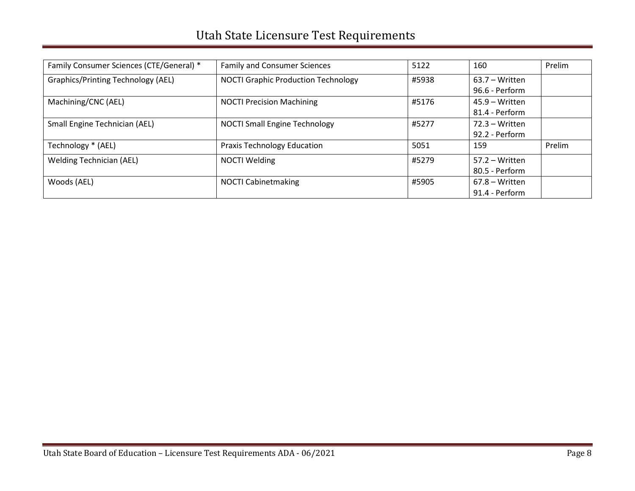| Family Consumer Sciences (CTE/General) *  | <b>Family and Consumer Sciences</b>        | 5122  | 160               | Prelim |
|-------------------------------------------|--------------------------------------------|-------|-------------------|--------|
| <b>Graphics/Printing Technology (AEL)</b> | <b>NOCTI Graphic Production Technology</b> | #5938 | $63.7 - W$ ritten |        |
|                                           |                                            |       | 96.6 - Perform    |        |
| Machining/CNC (AEL)                       | <b>NOCTI Precision Machining</b>           | #5176 | $45.9 - Written$  |        |
|                                           |                                            |       | 81.4 - Perform    |        |
| Small Engine Technician (AEL)             | <b>NOCTI Small Engine Technology</b>       | #5277 | $72.3 - Written$  |        |
|                                           |                                            |       | 92.2 - Perform    |        |
| Technology * (AEL)                        | <b>Praxis Technology Education</b>         | 5051  | 159               | Prelim |
| <b>Welding Technician (AEL)</b>           | <b>NOCTI Welding</b>                       | #5279 | $57.2 - Written$  |        |
|                                           |                                            |       | 80.5 - Perform    |        |
| Woods (AEL)                               | <b>NOCTI Cabinetmaking</b>                 | #5905 | $67.8 - W$ ritten |        |
|                                           |                                            |       | 91.4 - Perform    |        |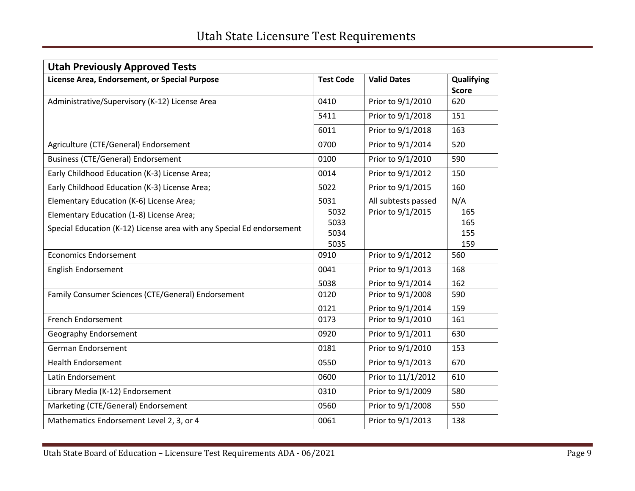| <b>Utah Previously Approved Tests</b>                                                                                                                         |                                      |                                          |                                 |
|---------------------------------------------------------------------------------------------------------------------------------------------------------------|--------------------------------------|------------------------------------------|---------------------------------|
| License Area, Endorsement, or Special Purpose                                                                                                                 | <b>Test Code</b>                     | <b>Valid Dates</b>                       | Qualifying<br><b>Score</b>      |
| Administrative/Supervisory (K-12) License Area                                                                                                                | 0410                                 | Prior to 9/1/2010                        | 620                             |
|                                                                                                                                                               | 5411                                 | Prior to 9/1/2018                        | 151                             |
|                                                                                                                                                               | 6011                                 | Prior to 9/1/2018                        | 163                             |
| Agriculture (CTE/General) Endorsement                                                                                                                         | 0700                                 | Prior to 9/1/2014                        | 520                             |
| <b>Business (CTE/General) Endorsement</b>                                                                                                                     | 0100                                 | Prior to 9/1/2010                        | 590                             |
| Early Childhood Education (K-3) License Area;                                                                                                                 | 0014                                 | Prior to 9/1/2012                        | 150                             |
| Early Childhood Education (K-3) License Area;                                                                                                                 | 5022                                 | Prior to 9/1/2015                        | 160                             |
| Elementary Education (K-6) License Area;<br>Elementary Education (1-8) License Area;<br>Special Education (K-12) License area with any Special Ed endorsement | 5031<br>5032<br>5033<br>5034<br>5035 | All subtests passed<br>Prior to 9/1/2015 | N/A<br>165<br>165<br>155<br>159 |
| <b>Economics Endorsement</b>                                                                                                                                  | 0910                                 | Prior to 9/1/2012                        | 560                             |
| English Endorsement                                                                                                                                           | 0041<br>5038                         | Prior to 9/1/2013<br>Prior to 9/1/2014   | 168<br>162                      |
| Family Consumer Sciences (CTE/General) Endorsement                                                                                                            | 0120<br>0121                         | Prior to 9/1/2008<br>Prior to 9/1/2014   | 590<br>159                      |
| French Endorsement                                                                                                                                            | 0173                                 | Prior to 9/1/2010                        | 161                             |
| Geography Endorsement                                                                                                                                         | 0920                                 | Prior to 9/1/2011                        | 630                             |
| German Endorsement                                                                                                                                            | 0181                                 | Prior to 9/1/2010                        | 153                             |
| <b>Health Endorsement</b>                                                                                                                                     | 0550                                 | Prior to 9/1/2013                        | 670                             |
| Latin Endorsement                                                                                                                                             | 0600                                 | Prior to 11/1/2012                       | 610                             |
| Library Media (K-12) Endorsement                                                                                                                              | 0310                                 | Prior to 9/1/2009                        | 580                             |
| Marketing (CTE/General) Endorsement                                                                                                                           | 0560                                 | Prior to 9/1/2008                        | 550                             |
| Mathematics Endorsement Level 2, 3, or 4                                                                                                                      | 0061                                 | Prior to 9/1/2013                        | 138                             |